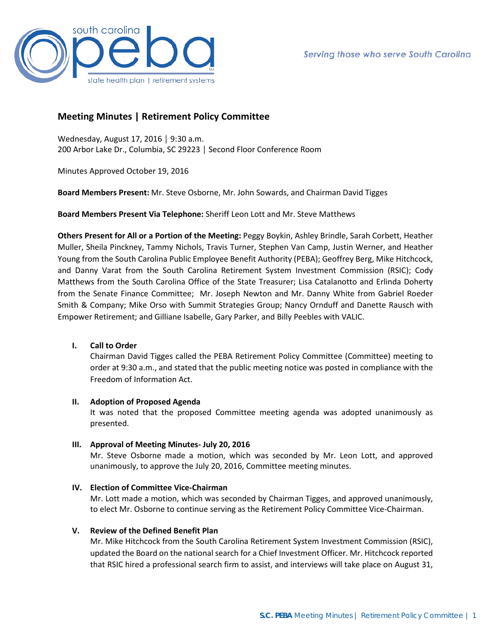

# **Meeting Minutes | Retirement Policy Committee**

Wednesday, August 17, 2016 │ 9:30 a.m. 200 Arbor Lake Dr., Columbia, SC 29223 │ Second Floor Conference Room

Minutes Approved October 19, 2016

**Board Members Present:** Mr. Steve Osborne, Mr. John Sowards, and Chairman David Tigges

**Board Members Present Via Telephone:** Sheriff Leon Lott and Mr. Steve Matthews

**Others Present for All or a Portion of the Meeting:** Peggy Boykin, Ashley Brindle, Sarah Corbett, Heather Muller, Sheila Pinckney, Tammy Nichols, Travis Turner, Stephen Van Camp, Justin Werner, and Heather Young from the South Carolina Public Employee Benefit Authority (PEBA); Geoffrey Berg, Mike Hitchcock, and Danny Varat from the South Carolina Retirement System Investment Commission (RSIC); Cody Matthews from the South Carolina Office of the State Treasurer; Lisa Catalanotto and Erlinda Doherty from the Senate Finance Committee; Mr. Joseph Newton and Mr. Danny White from Gabriel Roeder Smith & Company; Mike Orso with Summit Strategies Group; Nancy Ornduff and Danette Rausch with Empower Retirement; and Gilliane Isabelle, Gary Parker, and Billy Peebles with VALIC.

#### **I. Call to Order**

Chairman David Tigges called the PEBA Retirement Policy Committee (Committee) meeting to order at 9:30 a.m., and stated that the public meeting notice was posted in compliance with the Freedom of Information Act.

#### **II. Adoption of Proposed Agenda**

It was noted that the proposed Committee meeting agenda was adopted unanimously as presented.

#### **III. Approval of Meeting Minutes- July 20, 2016**

Mr. Steve Osborne made a motion, which was seconded by Mr. Leon Lott, and approved unanimously, to approve the July 20, 2016, Committee meeting minutes.

# **IV. Election of Committee Vice-Chairman**

Mr. Lott made a motion, which was seconded by Chairman Tigges, and approved unanimously, to elect Mr. Osborne to continue serving as the Retirement Policy Committee Vice-Chairman.

# **V. Review of the Defined Benefit Plan**

Mr. Mike Hitchcock from the South Carolina Retirement System Investment Commission (RSIC), updated the Board on the national search for a Chief Investment Officer. Mr. Hitchcock reported that RSIC hired a professional search firm to assist, and interviews will take place on August 31,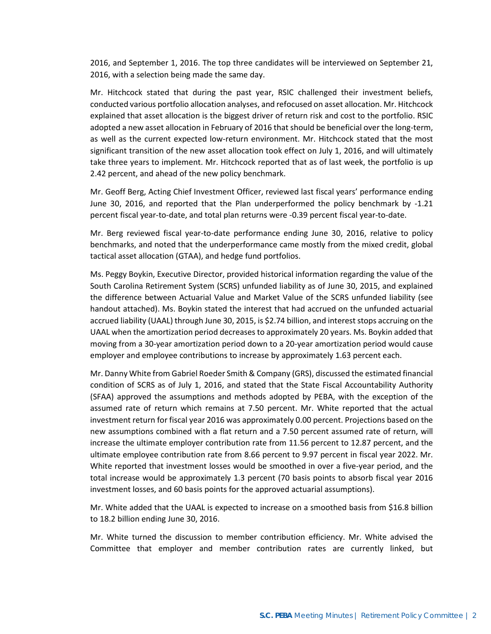2016, and September 1, 2016. The top three candidates will be interviewed on September 21, 2016, with a selection being made the same day.

Mr. Hitchcock stated that during the past year, RSIC challenged their investment beliefs, conducted various portfolio allocation analyses, and refocused on asset allocation. Mr. Hitchcock explained that asset allocation is the biggest driver of return risk and cost to the portfolio. RSIC adopted a new asset allocation in February of 2016 that should be beneficial over the long-term, as well as the current expected low-return environment. Mr. Hitchcock stated that the most significant transition of the new asset allocation took effect on July 1, 2016, and will ultimately take three years to implement. Mr. Hitchcock reported that as of last week, the portfolio is up 2.42 percent, and ahead of the new policy benchmark.

Mr. Geoff Berg, Acting Chief Investment Officer, reviewed last fiscal years' performance ending June 30, 2016, and reported that the Plan underperformed the policy benchmark by -1.21 percent fiscal year-to-date, and total plan returns were -0.39 percent fiscal year-to-date.

Mr. Berg reviewed fiscal year-to-date performance ending June 30, 2016, relative to policy benchmarks, and noted that the underperformance came mostly from the mixed credit, global tactical asset allocation (GTAA), and hedge fund portfolios.

Ms. Peggy Boykin, Executive Director, provided historical information regarding the value of the South Carolina Retirement System (SCRS) unfunded liability as of June 30, 2015, and explained the difference between Actuarial Value and Market Value of the SCRS unfunded liability (see handout attached). Ms. Boykin stated the interest that had accrued on the unfunded actuarial accrued liability (UAAL) through June 30, 2015, is \$2.74 billion, and interest stops accruing on the UAAL when the amortization period decreases to approximately 20 years. Ms. Boykin added that moving from a 30-year amortization period down to a 20-year amortization period would cause employer and employee contributions to increase by approximately 1.63 percent each.

Mr. Danny White from Gabriel Roeder Smith & Company (GRS), discussed the estimated financial condition of SCRS as of July 1, 2016, and stated that the State Fiscal Accountability Authority (SFAA) approved the assumptions and methods adopted by PEBA, with the exception of the assumed rate of return which remains at 7.50 percent. Mr. White reported that the actual investment return for fiscal year 2016 was approximately 0.00 percent. Projections based on the new assumptions combined with a flat return and a 7.50 percent assumed rate of return, will increase the ultimate employer contribution rate from 11.56 percent to 12.87 percent, and the ultimate employee contribution rate from 8.66 percent to 9.97 percent in fiscal year 2022. Mr. White reported that investment losses would be smoothed in over a five-year period, and the total increase would be approximately 1.3 percent (70 basis points to absorb fiscal year 2016 investment losses, and 60 basis points for the approved actuarial assumptions).

Mr. White added that the UAAL is expected to increase on a smoothed basis from \$16.8 billion to 18.2 billion ending June 30, 2016.

Mr. White turned the discussion to member contribution efficiency. Mr. White advised the Committee that employer and member contribution rates are currently linked, but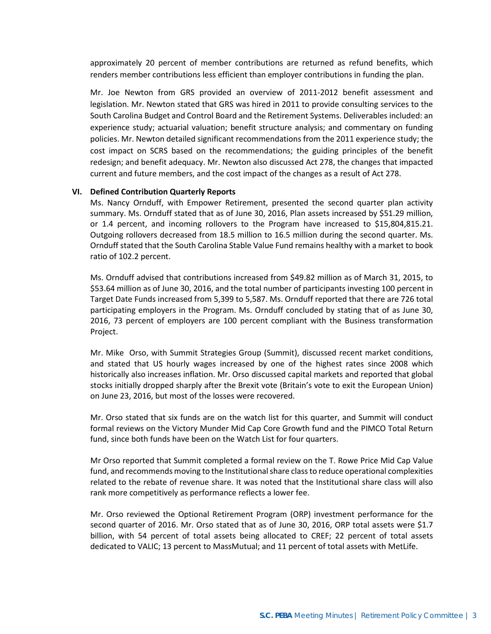approximately 20 percent of member contributions are returned as refund benefits, which renders member contributions less efficient than employer contributions in funding the plan.

Mr. Joe Newton from GRS provided an overview of 2011-2012 benefit assessment and legislation. Mr. Newton stated that GRS was hired in 2011 to provide consulting services to the South Carolina Budget and Control Board and the Retirement Systems. Deliverables included: an experience study; actuarial valuation; benefit structure analysis; and commentary on funding policies. Mr. Newton detailed significant recommendations from the 2011 experience study; the cost impact on SCRS based on the recommendations; the guiding principles of the benefit redesign; and benefit adequacy. Mr. Newton also discussed Act 278, the changes that impacted current and future members, and the cost impact of the changes as a result of Act 278.

#### **VI. Defined Contribution Quarterly Reports**

Ms. Nancy Ornduff, with Empower Retirement, presented the second quarter plan activity summary. Ms. Ornduff stated that as of June 30, 2016, Plan assets increased by \$51.29 million, or 1.4 percent, and incoming rollovers to the Program have increased to \$15,804,815.21. Outgoing rollovers decreased from 18.5 million to 16.5 million during the second quarter. Ms. Ornduff stated that the South Carolina Stable Value Fund remains healthy with a market to book ratio of 102.2 percent.

Ms. Ornduff advised that contributions increased from \$49.82 million as of March 31, 2015, to \$53.64 million as of June 30, 2016, and the total number of participants investing 100 percent in Target Date Funds increased from 5,399 to 5,587. Ms. Ornduff reported that there are 726 total participating employers in the Program. Ms. Ornduff concluded by stating that of as June 30, 2016, 73 percent of employers are 100 percent compliant with the Business transformation Project.

Mr. Mike Orso, with Summit Strategies Group (Summit), discussed recent market conditions, and stated that US hourly wages increased by one of the highest rates since 2008 which historically also increases inflation. Mr. Orso discussed capital markets and reported that global stocks initially dropped sharply after the Brexit vote (Britain's vote to exit the European Union) on June 23, 2016, but most of the losses were recovered.

Mr. Orso stated that six funds are on the watch list for this quarter, and Summit will conduct formal reviews on the Victory Munder Mid Cap Core Growth fund and the PIMCO Total Return fund, since both funds have been on the Watch List for four quarters.

Mr Orso reported that Summit completed a formal review on the T. Rowe Price Mid Cap Value fund, and recommends moving to the Institutional share class to reduce operational complexities related to the rebate of revenue share. It was noted that the Institutional share class will also rank more competitively as performance reflects a lower fee.

Mr. Orso reviewed the Optional Retirement Program (ORP) investment performance for the second quarter of 2016. Mr. Orso stated that as of June 30, 2016, ORP total assets were \$1.7 billion, with 54 percent of total assets being allocated to CREF; 22 percent of total assets dedicated to VALIC; 13 percent to MassMutual; and 11 percent of total assets with MetLife.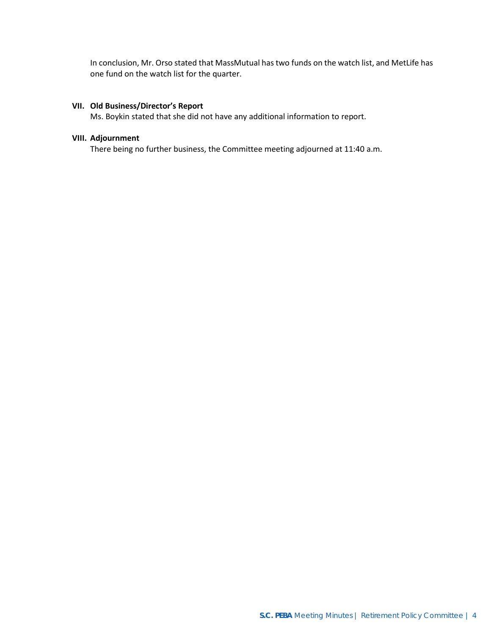In conclusion, Mr. Orso stated that MassMutual has two funds on the watch list, and MetLife has one fund on the watch list for the quarter.

#### **VII. Old Business/Director's Report**

Ms. Boykin stated that she did not have any additional information to report.

#### **VIII. Adjournment**

There being no further business, the Committee meeting adjourned at 11:40 a.m.